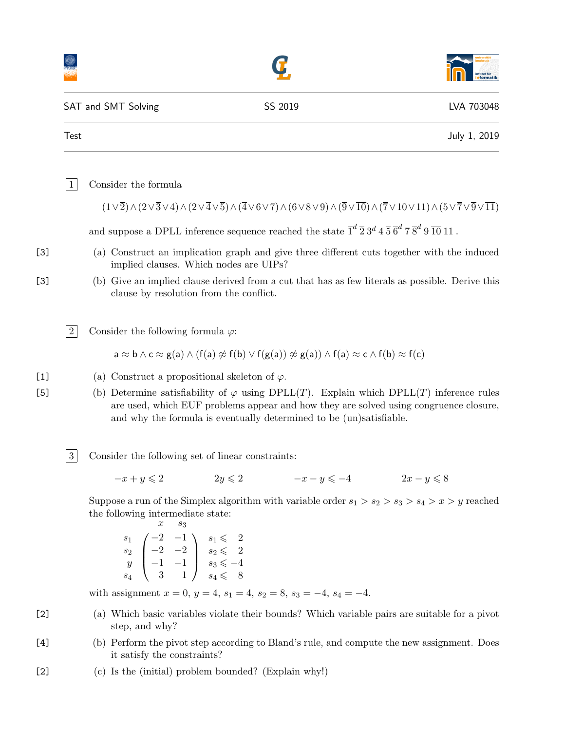|                                                                                                                                                                                                                                                                                                                         | SAT and SMT Solving                                                                                                                                                                                                                                                          | SS 2019                                                                                            | LVA 703048   |
|-------------------------------------------------------------------------------------------------------------------------------------------------------------------------------------------------------------------------------------------------------------------------------------------------------------------------|------------------------------------------------------------------------------------------------------------------------------------------------------------------------------------------------------------------------------------------------------------------------------|----------------------------------------------------------------------------------------------------|--------------|
| <b>Test</b>                                                                                                                                                                                                                                                                                                             |                                                                                                                                                                                                                                                                              |                                                                                                    | July 1, 2019 |
| $\vert$ 1                                                                                                                                                                                                                                                                                                               | Consider the formula                                                                                                                                                                                                                                                         |                                                                                                    |              |
|                                                                                                                                                                                                                                                                                                                         | $(1\vee\overline{2})\wedge(2\vee\overline{3}\vee4)\wedge(2\vee\overline{4}\vee\overline{5})\wedge(\overline{4}\vee6\vee7)\wedge(6\vee8\vee9)\wedge(\overline{9}\vee\overline{10})\wedge(\overline{7}\vee10\vee11)\wedge(5\vee\overline{7}\vee\overline{9}\vee\overline{11})$ |                                                                                                    |              |
|                                                                                                                                                                                                                                                                                                                         | and suppose a DPLL inference sequence reached the state $\overline{1}^d \overline{2} 3^d 4 \overline{5} \overline{6}^d 7 \overline{8}^d 9 \overline{10} 11$ .                                                                                                                |                                                                                                    |              |
|                                                                                                                                                                                                                                                                                                                         | (a) Construct an implication graph and give three different cuts together with the induced<br>implied clauses. Which nodes are UIPs?                                                                                                                                         |                                                                                                    |              |
|                                                                                                                                                                                                                                                                                                                         | (b) Give an implied clause derived from a cut that has as few literals as possible. Derive this<br>clause by resolution from the conflict.                                                                                                                                   |                                                                                                    |              |
| $\overline{2}$                                                                                                                                                                                                                                                                                                          | Consider the following formula $\varphi$ :                                                                                                                                                                                                                                   |                                                                                                    |              |
|                                                                                                                                                                                                                                                                                                                         | $a \approx b \wedge c \approx g(a) \wedge (f(a) \not\approx f(b) \vee f(g(a)) \not\approx g(a)) \wedge f(a) \approx c \wedge f(b) \approx f(c)$                                                                                                                              |                                                                                                    |              |
| (a) Construct a propositional skeleton of $\varphi$ .<br>(b) Determine satisfiability of $\varphi$ using DPLL(T). Explain which DPLL(T) inference rules<br>are used, which EUF problems appear and how they are solved using congruence closure,<br>and why the formula is eventually determined to be (un)satisfiable. |                                                                                                                                                                                                                                                                              |                                                                                                    |              |
| 3                                                                                                                                                                                                                                                                                                                       | Consider the following set of linear constraints:                                                                                                                                                                                                                            |                                                                                                    |              |
|                                                                                                                                                                                                                                                                                                                         | $-x+y\leqslant 2$                                                                                                                                                                                                                                                            | $2y \leqslant 2$ $-x-y \leqslant -4$ $2x-y \leqslant 8$                                            |              |
|                                                                                                                                                                                                                                                                                                                         | the following intermediate state:<br>$\boldsymbol{x}$<br>$s_3$<br>$\begin{array}{c c} s_1 & -2 & -1 \\ s_2 & -2 & -2 \\ y & -1 & -1 & s_3 \leqslant -4 \\ s_4 & 3 & 1 & s_4 \leqslant 8 \end{array}$                                                                         | Suppose a run of the Simplex algorithm with variable order $s_1 > s_2 > s_3 > s_4 > x > y$ reached |              |
|                                                                                                                                                                                                                                                                                                                         | with assignment $x = 0$ , $y = 4$ , $s_1 = 4$ , $s_2 = 8$ , $s_3 = -4$ , $s_4 = -4$ .                                                                                                                                                                                        |                                                                                                    |              |
|                                                                                                                                                                                                                                                                                                                         | (a) Which basic variables violate their bounds? Which variable pairs are suitable for a pivot<br>step, and why?                                                                                                                                                              |                                                                                                    |              |
|                                                                                                                                                                                                                                                                                                                         | (b) Perform the pivot step according to Bland's rule, and compute the new assignment. Does<br>it satisfy the constraints?                                                                                                                                                    |                                                                                                    |              |
|                                                                                                                                                                                                                                                                                                                         |                                                                                                                                                                                                                                                                              |                                                                                                    |              |